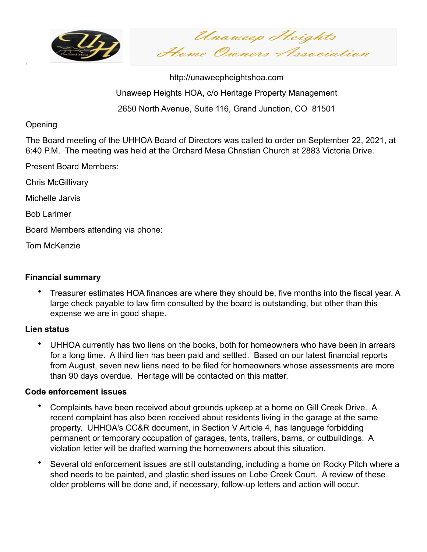

Unaweep Heights Home Owners Association

http://unaweepheightshoa.com Unaweep Heights HOA, c/o Heritage Property Management 2650 North Avenue, Suite 116, Grand Junction, CO 81501

### **Opening**

.

The Board meeting of the UHHOA Board of Directors was called to order on September 22, 2021, at 6:40 P.M. The meeting was held at the Orchard Mesa Christian Church at 2883 Victoria Drive.

Present Board Members:

Chris McGillivary

Michelle Jarvis

Bob Larimer

Board Members attending via phone:

Tom McKenzie

### **Financial summary**

• Treasurer estimates HOA finances are where they should be, five months into the fiscal year. A large check payable to law firm consulted by the board is outstanding, but other than this expense we are in good shape.

#### **Lien status**

• UHHOA currently has two liens on the books, both for homeowners who have been in arrears for a long time. A third lien has been paid and settled. Based on our latest financial reports from August, seven new liens need to be filed for homeowners whose assessments are more than 90 days overdue. Heritage will be contacted on this matter.

#### **Code enforcement issues**

- Complaints have been received about grounds upkeep at a home on Gill Creek Drive. A recent complaint has also been received about residents living in the garage at the same property. UHHOA's CC&R document, in Section V Article 4, has language forbidding permanent or temporary occupation of garages, tents, trailers, barns, or outbuildings. A violation letter will be drafted warning the homeowners about this situation.
- Several old enforcement issues are still outstanding, including a home on Rocky Pitch where a shed needs to be painted, and plastic shed issues on Lobe Creek Court. A review of these older problems will be done and, if necessary, follow-up letters and action will occur.